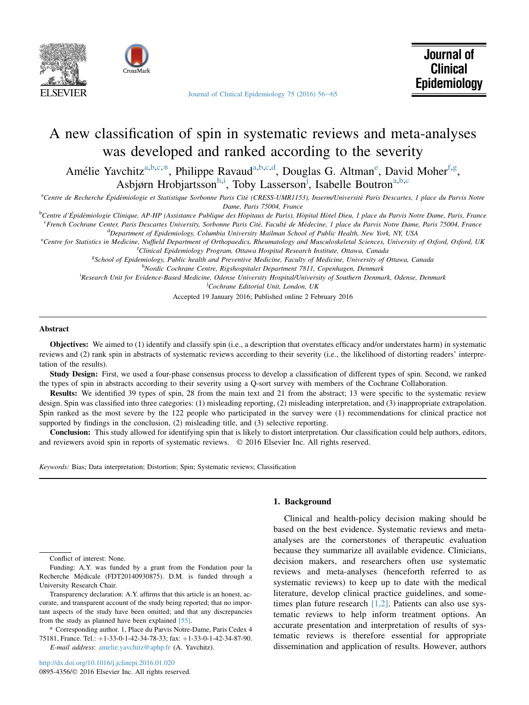



[Journal of Clinical Epidemiology 75 \(2016\) 56](http://dx.doi.org/10.1016/j.jclinepi.2016.01.020)-[65](http://dx.doi.org/10.1016/j.jclinepi.2016.01.020)

# A new classification of spin in systematic reviews and meta-analyses was developed and ranked according to the severity

Amélie Yavchitz<sup>a,b,c,\*</sup>, Philippe Ravaud<sup>a,b,c,d</sup>, Douglas G. Altman<sup>e</sup>, David Moher<sup>f,g</sup>, Asbjørn Hrobjartsson<sup>h,i</sup>, Toby Lasserson<sup>j</sup>, Isabelle Boutron<sup>a,b,c</sup>

acentre de Recherche Épidémiologie et Statistique Sorbonne Paris Cité (CRESS-UMR1153), Inserm/Université Paris Descartes, 1 place du Parvis Notre Dame, Paris 75004, France

<sup>b</sup>Centre d'Épidémiologie Clinique, AP-HP (Assistance Publique des Hôpitaux de Paris), Hôpital Hôtel Dieu, 1 place du Parvis Notre Dame, Paris, France<br>CErench Cochrane Center Paris Descartes University, Sorbonne Paris Cité

<sup>c</sup>French Cochrane Center, Paris Descartes University, Sorbonne Paris Cité, Faculté de Médecine, 1 place du Parvis Notre Dame, Paris 75004, France <sup>d</sup>Department of Epidemiology, Columbia University Mailman School of Public Health, New York, NY, USA

<sup>e</sup>Centre for Statistics in Medicine, Nuffield Department of Orthopaedics, Rheumatology and Musculoskeletal Sciences, University of Oxford, Oxford, UK <sup>f</sup>Clinical Epidemiology Program, Ottawa Hospital Research Institute, Ottawa, Canada

g School of Epidemiology, Public health and Preventive Medicine, Faculty of Medicine, University of Ottawa, Canada

<sup>h</sup>Nordic Cochrane Centre, Rigshospitalet Department 7811, Copenhagen, Denmark

i Research Unit for Evidence-Based Medicine, Odense University Hospital/University of Southern Denmark, Odense, Denmark

<sup>j</sup>Cochrane Editorial Unit, London, UK

Accepted 19 January 2016; Published online 2 February 2016

## Abstract

Objectives: We aimed to (1) identify and classify spin (i.e., a description that overstates efficacy and/or understates harm) in systematic reviews and (2) rank spin in abstracts of systematic reviews according to their severity (i.e., the likelihood of distorting readers' interpretation of the results).

Study Design: First, we used a four-phase consensus process to develop a classification of different types of spin. Second, we ranked the types of spin in abstracts according to their severity using a Q-sort survey with members of the Cochrane Collaboration.

Results: We identified 39 types of spin, 28 from the main text and 21 from the abstract; 13 were specific to the systematic review design. Spin was classified into three categories: (1) misleading reporting, (2) misleading interpretation, and (3) inappropriate extrapolation. Spin ranked as the most severe by the 122 people who participated in the survey were (1) recommendations for clinical practice not supported by findings in the conclusion, (2) misleading title, and (3) selective reporting.

Conclusion: This study allowed for identifying spin that is likely to distort interpretation. Our classification could help authors, editors, and reviewers avoid spin in reports of systematic reviews. © 2016 Elsevier Inc. All rights reserved.

Keywords: Bias; Data interpretation; Distortion; Spin; Systematic reviews; Classification

Conflict of interest: None.

Funding: A.Y. was funded by a grant from the Fondation pour la Recherche Medicale (FDT20140930875). D.M. is funded through a University Research Chair.

Transparency declaration: A.Y. affirms that this article is an honest, accurate, and transparent account of the study being reported; that no important aspects of the study have been omitted; and that any discrepancies from the study as planned have been explained [\[55\].](#page-9-0)

\* Corresponding author. 1, Place du Parvis Notre-Dame, Paris Cedex 4 75181, France. Tel.: +1-33-0-1-42-34-78-33; fax: +1-33-0-1-42-34-87-90. E-mail address: [amelie.yavchitz@aphp.fr](mailto:amelie.yavchitz@aphp.fr) (A. Yavchitz).

#### 1. Background

Clinical and health-policy decision making should be based on the best evidence. Systematic reviews and metaanalyses are the cornerstones of therapeutic evaluation because they summarize all available evidence. Clinicians, decision makers, and researchers often use systematic reviews and meta-analyses (henceforth referred to as systematic reviews) to keep up to date with the medical literature, develop clinical practice guidelines, and sometimes plan future research  $[1,2]$ . Patients can also use systematic reviews to help inform treatment options. An accurate presentation and interpretation of results of systematic reviews is therefore essential for appropriate dissemination and application of results. However, authors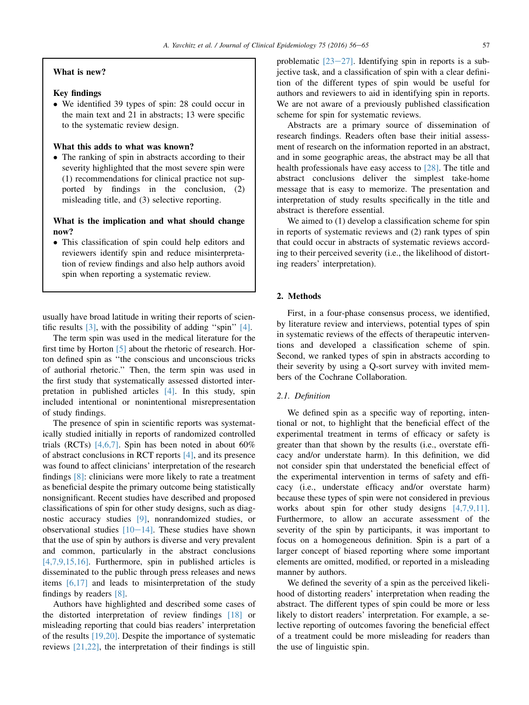## What is new?

# Key findings

- We identified 39 types of spin: 28 could occur in the main text and 21 in abstracts; 13 were specific to the systematic review design.

# What this adds to what was known?

- The ranking of spin in abstracts according to their severity highlighted that the most severe spin were (1) recommendations for clinical practice not supported by findings in the conclusion, (2) misleading title, and (3) selective reporting.

# What is the implication and what should change now?

- This classification of spin could help editors and reviewers identify spin and reduce misinterpretation of review findings and also help authors avoid spin when reporting a systematic review.

usually have broad latitude in writing their reports of scientific results  $[3]$ , with the possibility of adding "spin"  $[4]$ .

The term spin was used in the medical literature for the first time by Horton [\[5\]](#page-8-0) about the rhetoric of research. Horton defined spin as ''the conscious and unconscious tricks of authorial rhetoric.'' Then, the term spin was used in the first study that systematically assessed distorted interpretation in published articles [\[4\]](#page-8-0). In this study, spin included intentional or nonintentional misrepresentation of study findings.

The presence of spin in scientific reports was systematically studied initially in reports of randomized controlled trials (RCTs) [\[4,6,7\]](#page-8-0). Spin has been noted in about  $60\%$ of abstract conclusions in RCT reports [\[4\]](#page-8-0), and its presence was found to affect clinicians' interpretation of the research findings [\[8\]](#page-8-0): clinicians were more likely to rate a treatment as beneficial despite the primary outcome being statistically nonsignificant. Recent studies have described and proposed classifications of spin for other study designs, such as diagnostic accuracy studies [\[9\]](#page-8-0), nonrandomized studies, or observational studies  $[10-14]$  $[10-14]$ . These studies have shown that the use of spin by authors is diverse and very prevalent and common, particularly in the abstract conclusions [\[4,7,9,15,16\]](#page-8-0). Furthermore, spin in published articles is disseminated to the public through press releases and news items [\[6,17\]](#page-8-0) and leads to misinterpretation of the study findings by readers [\[8\]](#page-8-0).

Authors have highlighted and described some cases of the distorted interpretation of review findings [\[18\]](#page-8-0) or misleading reporting that could bias readers' interpretation of the results [\[19,20\].](#page-8-0) Despite the importance of systematic reviews [\[21,22\]](#page-8-0), the interpretation of their findings is still

problematic  $[23-27]$  $[23-27]$ . Identifying spin in reports is a subjective task, and a classification of spin with a clear definition of the different types of spin would be useful for authors and reviewers to aid in identifying spin in reports. We are not aware of a previously published classification scheme for spin for systematic reviews.

Abstracts are a primary source of dissemination of research findings. Readers often base their initial assessment of research on the information reported in an abstract, and in some geographic areas, the abstract may be all that health professionals have easy access to [\[28\].](#page-9-0) The title and abstract conclusions deliver the simplest take-home message that is easy to memorize. The presentation and interpretation of study results specifically in the title and abstract is therefore essential.

We aimed to  $(1)$  develop a classification scheme for spin in reports of systematic reviews and (2) rank types of spin that could occur in abstracts of systematic reviews according to their perceived severity (i.e., the likelihood of distorting readers' interpretation).

## 2. Methods

First, in a four-phase consensus process, we identified, by literature review and interviews, potential types of spin in systematic reviews of the effects of therapeutic interventions and developed a classification scheme of spin. Second, we ranked types of spin in abstracts according to their severity by using a Q-sort survey with invited members of the Cochrane Collaboration.

## 2.1. Definition

We defined spin as a specific way of reporting, intentional or not, to highlight that the beneficial effect of the experimental treatment in terms of efficacy or safety is greater than that shown by the results (i.e., overstate efficacy and/or understate harm). In this definition, we did not consider spin that understated the beneficial effect of the experimental intervention in terms of safety and efficacy (i.e., understate efficacy and/or overstate harm) because these types of spin were not considered in previous works about spin for other study designs [\[4,7,9,11\]](#page-8-0). Furthermore, to allow an accurate assessment of the severity of the spin by participants, it was important to focus on a homogeneous definition. Spin is a part of a larger concept of biased reporting where some important elements are omitted, modified, or reported in a misleading manner by authors.

We defined the severity of a spin as the perceived likelihood of distorting readers' interpretation when reading the abstract. The different types of spin could be more or less likely to distort readers' interpretation. For example, a selective reporting of outcomes favoring the beneficial effect of a treatment could be more misleading for readers than the use of linguistic spin.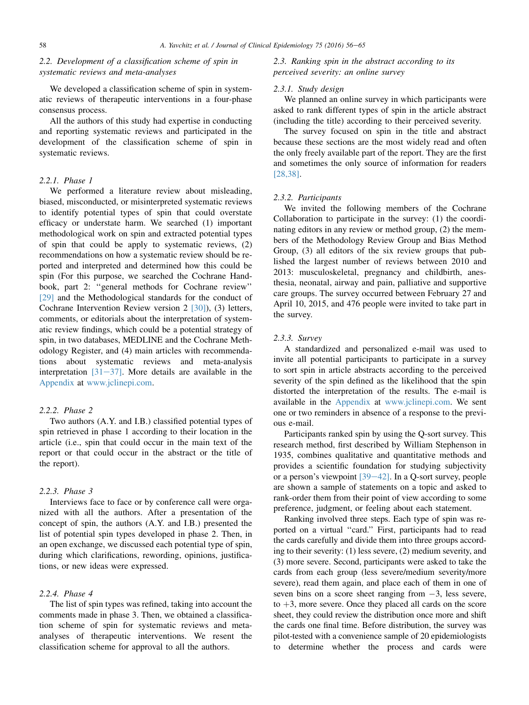# 2.2. Development of a classification scheme of spin in systematic reviews and meta-analyses

We developed a classification scheme of spin in systematic reviews of therapeutic interventions in a four-phase consensus process.

All the authors of this study had expertise in conducting and reporting systematic reviews and participated in the development of the classification scheme of spin in systematic reviews.

## 2.2.1. Phase 1

We performed a literature review about misleading, biased, misconducted, or misinterpreted systematic reviews to identify potential types of spin that could overstate efficacy or understate harm. We searched (1) important methodological work on spin and extracted potential types of spin that could be apply to systematic reviews, (2) recommendations on how a systematic review should be reported and interpreted and determined how this could be spin (For this purpose, we searched the Cochrane Handbook, part 2: ''general methods for Cochrane review'' [\[29\]](#page-9-0) and the Methodological standards for the conduct of Cochrane Intervention Review version 2 [\[30\]](#page-9-0)), (3) letters, comments, or editorials about the interpretation of systematic review findings, which could be a potential strategy of spin, in two databases, MEDLINE and the Cochrane Methodology Register, and (4) main articles with recommendations about systematic reviews and meta-analysis interpretation  $[31-37]$  $[31-37]$ . More details are available in the Appendix at [www.jclinepi.com.](http://www.jclinepi.com)

# 2.2.2. Phase 2

Two authors (A.Y. and I.B.) classified potential types of spin retrieved in phase 1 according to their location in the article (i.e., spin that could occur in the main text of the report or that could occur in the abstract or the title of the report).

#### 2.2.3. Phase 3

Interviews face to face or by conference call were organized with all the authors. After a presentation of the concept of spin, the authors (A.Y. and I.B.) presented the list of potential spin types developed in phase 2. Then, in an open exchange, we discussed each potential type of spin, during which clarifications, rewording, opinions, justifications, or new ideas were expressed.

# 2.2.4. Phase 4

The list of spin types was refined, taking into account the comments made in phase 3. Then, we obtained a classification scheme of spin for systematic reviews and metaanalyses of therapeutic interventions. We resent the classification scheme for approval to all the authors.

## 2.3. Ranking spin in the abstract according to its perceived severity: an online survey

## 2.3.1. Study design

We planned an online survey in which participants were asked to rank different types of spin in the article abstract (including the title) according to their perceived severity.

The survey focused on spin in the title and abstract because these sections are the most widely read and often the only freely available part of the report. They are the first and sometimes the only source of information for readers [\[28,38\]](#page-9-0).

## 2.3.2. Participants

We invited the following members of the Cochrane Collaboration to participate in the survey: (1) the coordinating editors in any review or method group, (2) the members of the Methodology Review Group and Bias Method Group, (3) all editors of the six review groups that published the largest number of reviews between 2010 and 2013: musculoskeletal, pregnancy and childbirth, anesthesia, neonatal, airway and pain, palliative and supportive care groups. The survey occurred between February 27 and April 10, 2015, and 476 people were invited to take part in the survey.

## 2.3.3. Survey

A standardized and personalized e-mail was used to invite all potential participants to participate in a survey to sort spin in article abstracts according to the perceived severity of the spin defined as the likelihood that the spin distorted the interpretation of the results. The e-mail is available in the Appendix at [www.jclinepi.com](http://www.jclinepi.com). We sent one or two reminders in absence of a response to the previous e-mail.

Participants ranked spin by using the Q-sort survey. This research method, first described by William Stephenson in 1935, combines qualitative and quantitative methods and provides a scientific foundation for studying subjectivity or a person's viewpoint  $\left[39-42\right]$  $\left[39-42\right]$  $\left[39-42\right]$ . In a Q-sort survey, people are shown a sample of statements on a topic and asked to rank-order them from their point of view according to some preference, judgment, or feeling about each statement.

Ranking involved three steps. Each type of spin was reported on a virtual ''card.'' First, participants had to read the cards carefully and divide them into three groups according to their severity: (1) less severe, (2) medium severity, and (3) more severe. Second, participants were asked to take the cards from each group (less severe/medium severity/more severe), read them again, and place each of them in one of seven bins on a score sheet ranging from  $-3$ , less severe, to  $+3$ , more severe. Once they placed all cards on the score sheet, they could review the distribution once more and shift the cards one final time. Before distribution, the survey was pilot-tested with a convenience sample of 20 epidemiologists to determine whether the process and cards were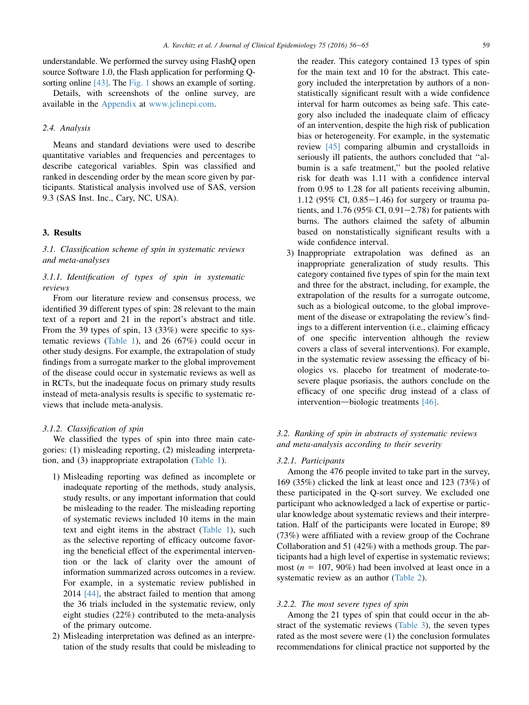understandable. We performed the survey using FlashQ open source Software 1.0, the Flash application for performing Q-sorting online [\[43\]](#page-9-0). The [Fig. 1](#page-7-0) shows an example of sorting.

Details, with screenshots of the online survey, are available in the Appendix at [www.jclinepi.com](http://www.jclinepi.com).

## 2.4. Analysis

Means and standard deviations were used to describe quantitative variables and frequencies and percentages to describe categorical variables. Spin was classified and ranked in descending order by the mean score given by participants. Statistical analysis involved use of SAS, version 9.3 (SAS Inst. Inc., Cary, NC, USA).

## 3. Results

# 3.1. Classification scheme of spin in systematic reviews and meta-analyses

# 3.1.1. Identification of types of spin in systematic reviews

From our literature review and consensus process, we identified 39 different types of spin: 28 relevant to the main text of a report and 21 in the report's abstract and title. From the 39 types of spin, 13 (33%) were specific to systematic reviews ([Table 1](#page-4-0)), and 26 (67%) could occur in other study designs. For example, the extrapolation of study findings from a surrogate marker to the global improvement of the disease could occur in systematic reviews as well as in RCTs, but the inadequate focus on primary study results instead of meta-analysis results is specific to systematic reviews that include meta-analysis.

#### 3.1.2. Classification of spin

We classified the types of spin into three main categories: (1) misleading reporting, (2) misleading interpretation, and (3) inappropriate extrapolation [\(Table 1\)](#page-4-0).

- 1) Misleading reporting was defined as incomplete or inadequate reporting of the methods, study analysis, study results, or any important information that could be misleading to the reader. The misleading reporting of systematic reviews included 10 items in the main text and eight items in the abstract [\(Table 1](#page-4-0)), such as the selective reporting of efficacy outcome favoring the beneficial effect of the experimental intervention or the lack of clarity over the amount of information summarized across outcomes in a review. For example, in a systematic review published in 2014 [\[44\]](#page-9-0), the abstract failed to mention that among the 36 trials included in the systematic review, only eight studies (22%) contributed to the meta-analysis of the primary outcome.
- 2) Misleading interpretation was defined as an interpretation of the study results that could be misleading to

the reader. This category contained 13 types of spin for the main text and 10 for the abstract. This category included the interpretation by authors of a nonstatistically significant result with a wide confidence interval for harm outcomes as being safe. This category also included the inadequate claim of efficacy of an intervention, despite the high risk of publication bias or heterogeneity. For example, in the systematic review [\[45\]](#page-9-0) comparing albumin and crystalloids in seriously ill patients, the authors concluded that ''albumin is a safe treatment,'' but the pooled relative risk for death was 1.11 with a confidence interval from 0.95 to 1.28 for all patients receiving albumin, 1.12 (95% CI,  $0.85-1.46$ ) for surgery or trauma patients, and  $1.76$  (95% CI, 0.91–2.78) for patients with burns. The authors claimed the safety of albumin based on nonstatistically significant results with a wide confidence interval.

3) Inappropriate extrapolation was defined as an inappropriate generalization of study results. This category contained five types of spin for the main text and three for the abstract, including, for example, the extrapolation of the results for a surrogate outcome, such as a biological outcome, to the global improvement of the disease or extrapolating the review's findings to a different intervention (i.e., claiming efficacy of one specific intervention although the review covers a class of several interventions). For example, in the systematic review assessing the efficacy of biologics vs. placebo for treatment of moderate-tosevere plaque psoriasis, the authors conclude on the efficacy of one specific drug instead of a class of intervention—biologic treatments  $[46]$ .

## 3.2. Ranking of spin in abstracts of systematic reviews and meta-analysis according to their severity

## 3.2.1. Participants

Among the 476 people invited to take part in the survey, 169 (35%) clicked the link at least once and 123 (73%) of these participated in the Q-sort survey. We excluded one participant who acknowledged a lack of expertise or particular knowledge about systematic reviews and their interpretation. Half of the participants were located in Europe; 89 (73%) were affiliated with a review group of the Cochrane Collaboration and 51 (42%) with a methods group. The participants had a high level of expertise in systematic reviews; most ( $n = 107, 90\%$ ) had been involved at least once in a systematic review as an author [\(Table 2\)](#page-5-0).

#### 3.2.2. The most severe types of spin

Among the 21 types of spin that could occur in the abstract of the systematic reviews [\(Table 3\)](#page-6-0), the seven types rated as the most severe were (1) the conclusion formulates recommendations for clinical practice not supported by the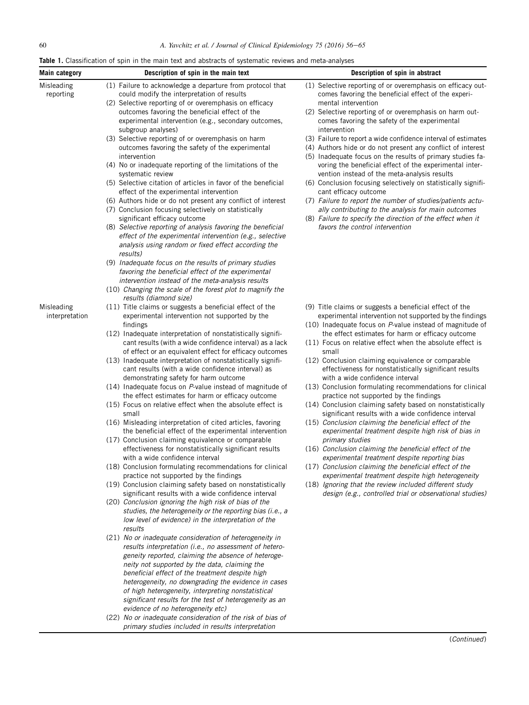<span id="page-4-0"></span>**Table 1.** Classification of spin in the main text and abstracts of systematic reviews and meta-analyses

| Main category                | Description of spin in the main text                                                                               | Description of spin in abstract                                                                                       |
|------------------------------|--------------------------------------------------------------------------------------------------------------------|-----------------------------------------------------------------------------------------------------------------------|
| Misleading                   | (1) Failure to acknowledge a departure from protocol that                                                          | (1) Selective reporting of or overemphasis on efficacy out-                                                           |
| reporting                    | could modify the interpretation of results                                                                         | comes favoring the beneficial effect of the experi-                                                                   |
|                              | (2) Selective reporting of or overemphasis on efficacy<br>outcomes favoring the beneficial effect of the           | mental intervention<br>(2) Selective reporting of or overemphasis on harm out-                                        |
|                              | experimental intervention (e.g., secondary outcomes,                                                               | comes favoring the safety of the experimental                                                                         |
|                              | subgroup analyses)                                                                                                 | intervention                                                                                                          |
|                              | (3) Selective reporting of or overemphasis on harm                                                                 | (3) Failure to report a wide confidence interval of estimates                                                         |
|                              | outcomes favoring the safety of the experimental                                                                   | (4) Authors hide or do not present any conflict of interest                                                           |
|                              | intervention<br>(4) No or inadequate reporting of the limitations of the                                           | (5) Inadequate focus on the results of primary studies fa-<br>voring the beneficial effect of the experimental inter- |
|                              | systematic review                                                                                                  | vention instead of the meta-analysis results                                                                          |
|                              | (5) Selective citation of articles in favor of the beneficial                                                      | (6) Conclusion focusing selectively on statistically signifi-                                                         |
|                              | effect of the experimental intervention                                                                            | cant efficacy outcome                                                                                                 |
|                              | (6) Authors hide or do not present any conflict of interest                                                        | (7) Failure to report the number of studies/patients actu-                                                            |
|                              | (7) Conclusion focusing selectively on statistically<br>significant efficacy outcome                               | ally contributing to the analysis for main outcomes<br>(8) Failure to specify the direction of the effect when it     |
|                              | (8) Selective reporting of analysis favoring the beneficial                                                        | favors the control intervention                                                                                       |
|                              | effect of the experimental intervention (e.g., selective                                                           |                                                                                                                       |
|                              | analysis using random or fixed effect according the                                                                |                                                                                                                       |
|                              | results)<br>(9) Inadequate focus on the results of primary studies                                                 |                                                                                                                       |
|                              | favoring the beneficial effect of the experimental                                                                 |                                                                                                                       |
|                              | intervention instead of the meta-analysis results                                                                  |                                                                                                                       |
|                              | (10) Changing the scale of the forest plot to magnify the                                                          |                                                                                                                       |
|                              | results (diamond size)                                                                                             |                                                                                                                       |
| Misleading<br>interpretation | (11) Title claims or suggests a beneficial effect of the<br>experimental intervention not supported by the         | (9) Title claims or suggests a beneficial effect of the<br>experimental intervention not supported by the findings    |
|                              | findings                                                                                                           | (10) Inadequate focus on P-value instead of magnitude of                                                              |
|                              | (12) Inadequate interpretation of nonstatistically signifi-                                                        | the effect estimates for harm or efficacy outcome                                                                     |
|                              | cant results (with a wide confidence interval) as a lack                                                           | (11) Focus on relative effect when the absolute effect is                                                             |
|                              | of effect or an equivalent effect for efficacy outcomes                                                            | small                                                                                                                 |
|                              | (13) Inadequate interpretation of nonstatistically signifi-<br>cant results (with a wide confidence interval) as   | (12) Conclusion claiming equivalence or comparable<br>effectiveness for nonstatistically significant results          |
|                              | demonstrating safety for harm outcome                                                                              | with a wide confidence interval                                                                                       |
|                              | (14) Inadequate focus on P-value instead of magnitude of                                                           | (13) Conclusion formulating recommendations for clinical                                                              |
|                              | the effect estimates for harm or efficacy outcome                                                                  | practice not supported by the findings                                                                                |
|                              | (15) Focus on relative effect when the absolute effect is<br>small                                                 | (14) Conclusion claiming safety based on nonstatistically<br>significant results with a wide confidence interval      |
|                              | (16) Misleading interpretation of cited articles, favoring                                                         | (15) Conclusion claiming the beneficial effect of the                                                                 |
|                              | the beneficial effect of the experimental intervention                                                             | experimental treatment despite high risk of bias in                                                                   |
|                              | (17) Conclusion claiming equivalence or comparable                                                                 | primary studies                                                                                                       |
|                              | effectiveness for nonstatistically significant results                                                             | (16) Conclusion claiming the beneficial effect of the                                                                 |
|                              | with a wide confidence interval<br>(18) Conclusion formulating recommendations for clinical                        | experimental treatment despite reporting bias<br>(17) Conclusion claiming the beneficial effect of the                |
|                              | practice not supported by the findings                                                                             | experimental treatment despite high heterogeneity                                                                     |
|                              | (19) Conclusion claiming safety based on nonstatistically                                                          | (18) Ignoring that the review included different study                                                                |
|                              | significant results with a wide confidence interval                                                                | design (e.g., controlled trial or observational studies)                                                              |
|                              | (20) Conclusion ignoring the high risk of bias of the<br>studies, the heterogeneity or the reporting bias (i.e., a |                                                                                                                       |
|                              | low level of evidence) in the interpretation of the                                                                |                                                                                                                       |
|                              | results                                                                                                            |                                                                                                                       |
|                              | (21) No or inadequate consideration of heterogeneity in                                                            |                                                                                                                       |
|                              | results interpretation (i.e., no assessment of hetero-                                                             |                                                                                                                       |
|                              | geneity reported, claiming the absence of heteroge-<br>neity not supported by the data, claiming the               |                                                                                                                       |
|                              | beneficial effect of the treatment despite high                                                                    |                                                                                                                       |
|                              | heterogeneity, no downgrading the evidence in cases                                                                |                                                                                                                       |
|                              | of high heterogeneity, interpreting nonstatistical                                                                 |                                                                                                                       |
|                              | significant results for the test of heterogeneity as an                                                            |                                                                                                                       |
|                              | evidence of no heterogeneity etc)<br>(22) No or inadequate consideration of the risk of bias of                    |                                                                                                                       |
|                              | primary studies included in results interpretation                                                                 |                                                                                                                       |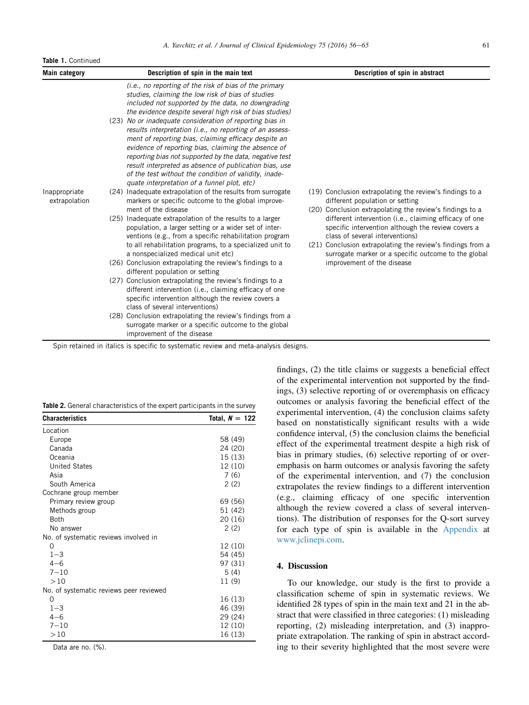#### <span id="page-5-0"></span>**Table 1.** Continued

| Main category                  | Description of spin in the main text                                                                                                                                                                                                                                                                                                                                                                                                                             | Description of spin in abstract                                                                                                                                                                                                                                       |
|--------------------------------|------------------------------------------------------------------------------------------------------------------------------------------------------------------------------------------------------------------------------------------------------------------------------------------------------------------------------------------------------------------------------------------------------------------------------------------------------------------|-----------------------------------------------------------------------------------------------------------------------------------------------------------------------------------------------------------------------------------------------------------------------|
|                                | ( <i>i.e.</i> , no reporting of the risk of bias of the primary<br>studies, claiming the low risk of bias of studies<br>included not supported by the data, no downgrading<br>the evidence despite several high risk of bias studies)                                                                                                                                                                                                                            |                                                                                                                                                                                                                                                                       |
|                                | (23) No or inadequate consideration of reporting bias in<br>results interpretation (i.e., no reporting of an assess-<br>ment of reporting bias, claiming efficacy despite an<br>evidence of reporting bias, claiming the absence of<br>reporting bias not supported by the data, negative test<br>result interpreted as absence of publication bias, use<br>of the test without the condition of validity, inade-<br>quate interpretation of a funnel plot, etc) |                                                                                                                                                                                                                                                                       |
| Inappropriate<br>extrapolation | (24) Inadequate extrapolation of the results from surrogate<br>markers or specific outcome to the global improve-<br>ment of the disease                                                                                                                                                                                                                                                                                                                         | (19) Conclusion extrapolating the review's findings to a<br>different population or setting<br>(20) Conclusion extrapolating the review's findings to a                                                                                                               |
|                                | (25) Inadequate extrapolation of the results to a larger<br>population, a larger setting or a wider set of inter-<br>ventions (e.g., from a specific rehabilitation program<br>to all rehabilitation programs, to a specialized unit to<br>a nonspecialized medical unit etc)                                                                                                                                                                                    | different intervention (i.e., claiming efficacy of one<br>specific intervention although the review covers a<br>class of several interventions)<br>(21) Conclusion extrapolating the review's findings from a<br>surrogate marker or a specific outcome to the global |
|                                | (26) Conclusion extrapolating the review's findings to a<br>different population or setting                                                                                                                                                                                                                                                                                                                                                                      | improvement of the disease                                                                                                                                                                                                                                            |
|                                | (27) Conclusion extrapolating the review's findings to a<br>different intervention (i.e., claiming efficacy of one<br>specific intervention although the review covers a<br>class of several interventions)                                                                                                                                                                                                                                                      |                                                                                                                                                                                                                                                                       |
|                                | (28) Conclusion extrapolating the review's findings from a<br>surrogate marker or a specific outcome to the global<br>improvement of the disease                                                                                                                                                                                                                                                                                                                 |                                                                                                                                                                                                                                                                       |

Spin retained in italics is specific to systematic review and meta-analysis designs.

|  | Table 2. General characteristics of the expert participants in the survey |
|--|---------------------------------------------------------------------------|
|  |                                                                           |

| <b>Characteristics</b>                  | Total, $N = 122$ |
|-----------------------------------------|------------------|
| Location                                |                  |
| Europe                                  | 58 (49)          |
| Canada                                  | 24 (20)          |
| Oceania                                 | 15 (13)          |
| <b>United States</b>                    | 12 (10)          |
| Asia                                    | 7(6)             |
| South America                           | 2(2)             |
| Cochrane group member                   |                  |
| Primary review group                    | 69 (56)          |
| Methods group                           | 51 (42)          |
| <b>Roth</b>                             | 20 (16)          |
| No answer                               | 2(2)             |
| No. of systematic reviews involved in   |                  |
| O                                       | 12 (10)          |
| $1 - 3$                                 | 54 (45)          |
| $4 - 6$                                 | 97 (31)          |
| $7 - 10$                                | 5(4)             |
| >10                                     | 11 (9)           |
| No. of systematic reviews peer reviewed |                  |
| 0                                       | 16 (13)          |
| $1 - 3$                                 | 46 (39)          |
| $4 - 6$                                 | 29 (24)          |
| $7 - 10$                                | 12 (10)          |
| >10                                     | 16 (13)          |

Data are no. (%).

findings, (2) the title claims or suggests a beneficial effect of the experimental intervention not supported by the findings, (3) selective reporting of or overemphasis on efficacy outcomes or analysis favoring the beneficial effect of the experimental intervention, (4) the conclusion claims safety based on nonstatistically significant results with a wide confidence interval, (5) the conclusion claims the beneficial effect of the experimental treatment despite a high risk of bias in primary studies, (6) selective reporting of or overemphasis on harm outcomes or analysis favoring the safety of the experimental intervention, and (7) the conclusion extrapolates the review findings to a different intervention (e.g., claiming efficacy of one specific intervention although the review covered a class of several interventions). The distribution of responses for the Q-sort survey for each type of spin is available in the Appendix at [www.jclinepi.com](http://www.jclinepi.com).

#### 4. Discussion

To our knowledge, our study is the first to provide a classification scheme of spin in systematic reviews. We identified 28 types of spin in the main text and 21 in the abstract that were classified in three categories: (1) misleading reporting, (2) misleading interpretation, and (3) inappropriate extrapolation. The ranking of spin in abstract according to their severity highlighted that the most severe were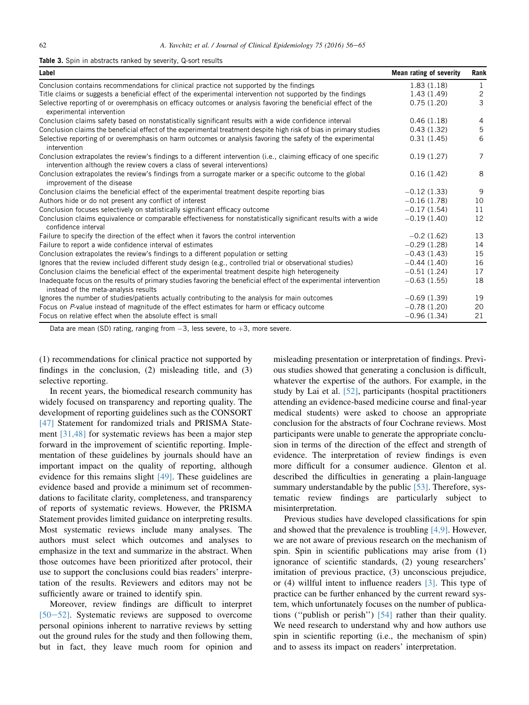#### <span id="page-6-0"></span>**Table 3.** Spin in abstracts ranked by severity, Q-sort results

| Label                                                                                                                                                                                           | Mean rating of severity | Rank           |
|-------------------------------------------------------------------------------------------------------------------------------------------------------------------------------------------------|-------------------------|----------------|
| Conclusion contains recommendations for clinical practice not supported by the findings                                                                                                         | 1.83(1.18)              | 1              |
| Title claims or suggests a beneficial effect of the experimental intervention not supported by the findings                                                                                     | 1.43(1.49)              | $\mathbf{2}$   |
| Selective reporting of or overemphasis on efficacy outcomes or analysis favoring the beneficial effect of the<br>experimental intervention                                                      | 0.75(1.20)              | 3              |
| Conclusion claims safety based on nonstatistically significant results with a wide confidence interval                                                                                          | 0.46(1.18)              | 4              |
| Conclusion claims the beneficial effect of the experimental treatment despite high risk of bias in primary studies                                                                              | 0.43(1.32)              | 5              |
| Selective reporting of or overemphasis on harm outcomes or analysis favoring the safety of the experimental<br>intervention                                                                     | 0.31(1.45)              | 6              |
| Conclusion extrapolates the review's findings to a different intervention (i.e., claiming efficacy of one specific<br>intervention although the review covers a class of several interventions) | 0.19(1.27)              | $\overline{7}$ |
| Conclusion extrapolates the review's findings from a surrogate marker or a specific outcome to the global<br>improvement of the disease                                                         | 0.16(1.42)              | 8              |
| Conclusion claims the beneficial effect of the experimental treatment despite reporting bias                                                                                                    | $-0.12(1.33)$           | 9              |
| Authors hide or do not present any conflict of interest                                                                                                                                         | $-0.16(1.78)$           | 10             |
| Conclusion focuses selectively on statistically significant efficacy outcome                                                                                                                    | $-0.17(1.54)$           | 11             |
| Conclusion claims equivalence or comparable effectiveness for nonstatistically significant results with a wide<br>confidence interval                                                           | $-0.19(1.40)$           | 12             |
| Failure to specify the direction of the effect when it favors the control intervention                                                                                                          | $-0.2(1.62)$            | 13             |
| Failure to report a wide confidence interval of estimates                                                                                                                                       | $-0.29(1.28)$           | 14             |
| Conclusion extrapolates the review's findings to a different population or setting                                                                                                              | $-0.43(1.43)$           | 15             |
| Ignores that the review included different study design (e.g., controlled trial or observational studies)                                                                                       | $-0.44(1.40)$           | 16             |
| Conclusion claims the beneficial effect of the experimental treatment despite high heterogeneity                                                                                                | $-0.51(1.24)$           | 17             |
| Inadequate focus on the results of primary studies favoring the beneficial effect of the experimental intervention<br>instead of the meta-analysis results                                      | $-0.63(1.55)$           | 18             |
| Ignores the number of studies/patients actually contributing to the analysis for main outcomes                                                                                                  | $-0.69(1.39)$           | 19             |
| Focus on P-value instead of magnitude of the effect estimates for harm or efficacy outcome                                                                                                      | $-0.78(1.20)$           | 20             |
| Focus on relative effect when the absolute effect is small                                                                                                                                      | $-0.96(1.34)$           | 21             |

Data are mean (SD) rating, ranging from  $-3$ , less severe, to  $+3$ , more severe.

(1) recommendations for clinical practice not supported by findings in the conclusion, (2) misleading title, and (3) selective reporting.

In recent years, the biomedical research community has widely focused on transparency and reporting quality. The development of reporting guidelines such as the CONSORT [\[47\]](#page-9-0) Statement for randomized trials and PRISMA Statement [\[31,48\]](#page-9-0) for systematic reviews has been a major step forward in the improvement of scientific reporting. Implementation of these guidelines by journals should have an important impact on the quality of reporting, although evidence for this remains slight [\[49\]](#page-9-0). These guidelines are evidence based and provide a minimum set of recommendations to facilitate clarity, completeness, and transparency of reports of systematic reviews. However, the PRISMA Statement provides limited guidance on interpreting results. Most systematic reviews include many analyses. The authors must select which outcomes and analyses to emphasize in the text and summarize in the abstract. When those outcomes have been prioritized after protocol, their use to support the conclusions could bias readers' interpretation of the results. Reviewers and editors may not be sufficiently aware or trained to identify spin.

Moreover, review findings are difficult to interpret  $[50-52]$  $[50-52]$  $[50-52]$ . Systematic reviews are supposed to overcome personal opinions inherent to narrative reviews by setting out the ground rules for the study and then following them, but in fact, they leave much room for opinion and

misleading presentation or interpretation of findings. Previous studies showed that generating a conclusion is difficult, whatever the expertise of the authors. For example, in the study by Lai et al. [\[52\]](#page-9-0), participants (hospital practitioners attending an evidence-based medicine course and final-year medical students) were asked to choose an appropriate conclusion for the abstracts of four Cochrane reviews. Most participants were unable to generate the appropriate conclusion in terms of the direction of the effect and strength of evidence. The interpretation of review findings is even more difficult for a consumer audience. Glenton et al. described the difficulties in generating a plain-language summary understandable by the public [\[53\].](#page-9-0) Therefore, systematic review findings are particularly subject to misinterpretation.

Previous studies have developed classifications for spin and showed that the prevalence is troubling [\[4,9\].](#page-8-0) However, we are not aware of previous research on the mechanism of spin. Spin in scientific publications may arise from (1) ignorance of scientific standards, (2) young researchers' imitation of previous practice, (3) unconscious prejudice, or (4) willful intent to influence readers [\[3\].](#page-8-0) This type of practice can be further enhanced by the current reward system, which unfortunately focuses on the number of publications (''publish or perish'') [\[54\]](#page-9-0) rather than their quality. We need research to understand why and how authors use spin in scientific reporting (i.e., the mechanism of spin) and to assess its impact on readers' interpretation.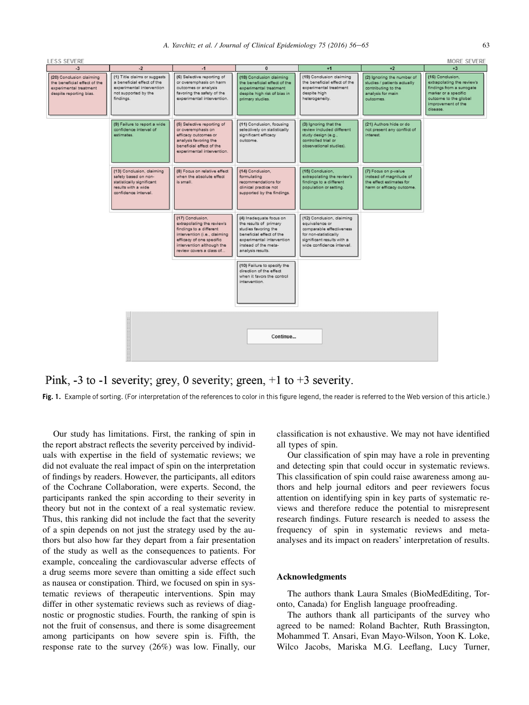<span id="page-7-0"></span>

Pink, -3 to -1 severity; grey, 0 severity; green,  $+1$  to  $+3$  severity.

**Fig. 1.** Example of sorting. (For interpretation of the references to color in this figure legend, the reader is referred to the Web version of this article.)

Our study has limitations. First, the ranking of spin in the report abstract reflects the severity perceived by individuals with expertise in the field of systematic reviews; we did not evaluate the real impact of spin on the interpretation of findings by readers. However, the participants, all editors of the Cochrane Collaboration, were experts. Second, the participants ranked the spin according to their severity in theory but not in the context of a real systematic review. Thus, this ranking did not include the fact that the severity of a spin depends on not just the strategy used by the authors but also how far they depart from a fair presentation of the study as well as the consequences to patients. For example, concealing the cardiovascular adverse effects of a drug seems more severe than omitting a side effect such as nausea or constipation. Third, we focused on spin in systematic reviews of therapeutic interventions. Spin may differ in other systematic reviews such as reviews of diagnostic or prognostic studies. Fourth, the ranking of spin is not the fruit of consensus, and there is some disagreement among participants on how severe spin is. Fifth, the response rate to the survey (26%) was low. Finally, our

classification is not exhaustive. We may not have identified all types of spin.

Our classification of spin may have a role in preventing and detecting spin that could occur in systematic reviews. This classification of spin could raise awareness among authors and help journal editors and peer reviewers focus attention on identifying spin in key parts of systematic reviews and therefore reduce the potential to misrepresent research findings. Future research is needed to assess the frequency of spin in systematic reviews and metaanalyses and its impact on readers' interpretation of results.

## Acknowledgments

The authors thank Laura Smales (BioMedEditing, Toronto, Canada) for English language proofreading.

The authors thank all participants of the survey who agreed to be named: Roland Bachter, Ruth Brassington, Mohammed T. Ansari, Evan Mayo-Wilson, Yoon K. Loke, Wilco Jacobs, Mariska M.G. Leeflang, Lucy Turner,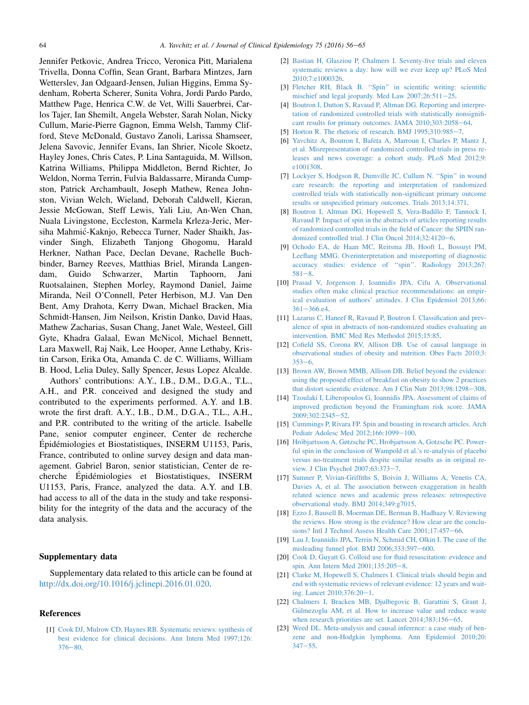<span id="page-8-0"></span>Jennifer Petkovic, Andrea Tricco, Veronica Pitt, Marialena Trivella, Donna Coffin, Sean Grant, Barbara Mintzes, Jarn Wetterslev, Jan Odgaard-Jensen, Julian Higgins, Emma Sydenham, Roberta Scherer, Sunita Vohra, Jordi Pardo Pardo, Matthew Page, Henrica C.W. de Vet, Willi Sauerbrei, Carlos Tajer, Ian Shemilt, Angela Webster, Sarah Nolan, Nicky Cullum, Marie-Pierre Gagnon, Emma Welsh, Tammy Clifford, Steve McDonald, Gustavo Zanoli, Larissa Shamseer, Jelena Savovic, Jennifer Evans, Ian Shrier, Nicole Skoetz, Hayley Jones, Chris Cates, P. Lina Santaguida, M. Willson, Katrina Williams, Philippa Middleton, Bernd Richter, Jo Weldon, Norma Terrin, Fulvia Baldassarre, Miranda Cumpston, Patrick Archambault, Joseph Mathew, Renea Johnston, Vivian Welch, Wieland, Deborah Caldwell, Kieran, Jessie McGowan, Steff Lewis, Yali Liu, An-Wen Chan, Nuala Livingstone, Eccleston, Karmela Krleza-Jeric, Mersiha Mahmic-Kaknjo, Rebecca Turner, Nader Shaikh, Jasvinder Singh, Elizabeth Tanjong Ghogomu, Harald Herkner, Nathan Pace, Declan Devane, Rachelle Buchbinder, Barney Reeves, Matthias Briel, Miranda Langendam, Guido Schwarzer, Martin Taphoorn, Jani Ruotsalainen, Stephen Morley, Raymond Daniel, Jaime Miranda, Neil O'Connell, Peter Herbison, M.J. Van Den Bent, Amy Drahota, Kerry Dwan, Michael Bracken, Mia Schmidt-Hansen, Jim Neilson, Kristin Danko, David Haas, Mathew Zacharias, Susan Chang, Janet Wale, Westeel, Gill Gyte, Khadra Galaal, Ewan McNicol, Michael Bennett, Lara Maxwell, Raj Naik, Lee Hooper, Anne Lethaby, Kristin Carson, Erika Ota, Amanda C. de C. Williams, William B. Hood, Lelia Duley, Sally Spencer, Jesus Lopez Alcalde.

Authors' contributions: A.Y., I.B., D.M., D.G.A., T.L., A.H., and P.R. conceived and designed the study and contributed to the experiments performed. A.Y. and I.B. wrote the first draft. A.Y., I.B., D.M., D.G.A., T.L., A.H., and P.R. contributed to the writing of the article. Isabelle Pane, senior computer engineer, Center de recherche Épidémiologies et Biostatistiques, INSERM U1153, Paris, France, contributed to online survey design and data management. Gabriel Baron, senior statistician, Center de recherche Epidémiologies et Biostatistiques, INSERM U1153, Paris, France, analyzed the data. A.Y. and I.B. had access to all of the data in the study and take responsibility for the integrity of the data and the accuracy of the data analysis.

## Supplementary data

Supplementary data related to this article can be found at <http://dx.doi.org/10.1016/j.jclinepi.2016.01.020>.

#### References

[1] [Cook DJ, Mulrow CD, Haynes RB. Systematic reviews: synthesis of](http://refhub.elsevier.com/S0895-4356(16)00057-3/sref1) [best evidence for clinical decisions. Ann Intern Med 1997;126:](http://refhub.elsevier.com/S0895-4356(16)00057-3/sref1)  $376 - 80.$  $376 - 80.$  $376 - 80.$  $376 - 80.$ 

- [2] [Bastian H, Glasziou P, Chalmers I. Seventy-five trials and eleven](http://refhub.elsevier.com/S0895-4356(16)00057-3/sref2) [systematic reviews a day: how will we ever keep up? PLoS Med](http://refhub.elsevier.com/S0895-4356(16)00057-3/sref2) [2010;7:e1000326](http://refhub.elsevier.com/S0895-4356(16)00057-3/sref2).
- [3] Fletcher RH, Black B. "Spin" in scientific writing: scientific mischief and legal jeopardy. Med Law  $2007;26:511-25$ .
- [4] [Boutron I, Dutton S, Ravaud P, Altman DG. Reporting and interpre](http://refhub.elsevier.com/S0895-4356(16)00057-3/sref4)[tation of randomized controlled trials with statistically nonsignifi](http://refhub.elsevier.com/S0895-4356(16)00057-3/sref4)[cant results for primary outcomes. JAMA 2010;303:2058](http://refhub.elsevier.com/S0895-4356(16)00057-3/sref4)-[64.](http://refhub.elsevier.com/S0895-4356(16)00057-3/sref4)
- [5] Horton R. The rhetoric of research. BMJ  $1995;310:985-7$ .
- [6] [Yavchitz A, Boutron I, Bafeta A, Marroun I, Charles P, Mantz J,](http://refhub.elsevier.com/S0895-4356(16)00057-3/sref6) [et al. Misrepresentation of randomized controlled trials in press re](http://refhub.elsevier.com/S0895-4356(16)00057-3/sref6)[leases and news coverage: a cohort study. PLoS Med 2012;9:](http://refhub.elsevier.com/S0895-4356(16)00057-3/sref6) [e1001308.](http://refhub.elsevier.com/S0895-4356(16)00057-3/sref6)
- [7] [Lockyer S, Hodgson R, Dumville JC, Cullum N. ''Spin'' in wound](http://refhub.elsevier.com/S0895-4356(16)00057-3/sref7) [care research: the reporting and interpretation of randomized](http://refhub.elsevier.com/S0895-4356(16)00057-3/sref7) [controlled trials with statistically non-significant primary outcome](http://refhub.elsevier.com/S0895-4356(16)00057-3/sref7) [results or unspecified primary outcomes. Trials 2013;14:371](http://refhub.elsevier.com/S0895-4356(16)00057-3/sref7).
- [8] [Boutron I, Altman DG, Hopewell S, Vera-Badillo F, Tannock I,](http://refhub.elsevier.com/S0895-4356(16)00057-3/sref8) [Ravaud P. Impact of spin in the abstracts of articles reporting results](http://refhub.elsevier.com/S0895-4356(16)00057-3/sref8) [of randomized controlled trials in the field of Cancer: the SPIIN ran](http://refhub.elsevier.com/S0895-4356(16)00057-3/sref8)domized controlled trial. J Clin Oncol  $2014;32:4120-6$  $2014;32:4120-6$ .
- [9] [Ochodo EA, de Haan MC, Reitsma JB, Hooft L, Bossuyt PM,](http://refhub.elsevier.com/S0895-4356(16)00057-3/sref9) [Leeflang MMG. Overinterpretation and misreporting of diagnostic](http://refhub.elsevier.com/S0895-4356(16)00057-3/sref9) [accuracy studies: evidence of ''spin''. Radiology 2013;267:](http://refhub.elsevier.com/S0895-4356(16)00057-3/sref9)  $581 - 8$  $581 - 8$  $581 - 8$
- [10] [Prasad V, Jorgenson J, Ioannidis JPA, Cifu A. Observational](http://refhub.elsevier.com/S0895-4356(16)00057-3/sref10) [studies often make clinical practice recommendations: an empir](http://refhub.elsevier.com/S0895-4356(16)00057-3/sref10)[ical evaluation of authors' attitudes. J Clin Epidemiol 2013;66:](http://refhub.elsevier.com/S0895-4356(16)00057-3/sref10)  $361 - 366.$  $361 - 366.$ e4.
- [11] [Lazarus C, Haneef R, Ravaud P, Boutron I. Classification and prev](http://refhub.elsevier.com/S0895-4356(16)00057-3/sref11)[alence of spin in abstracts of non-randomized studies evaluating an](http://refhub.elsevier.com/S0895-4356(16)00057-3/sref11) [intervention. BMC Med Res Methodol 2015;15:85](http://refhub.elsevier.com/S0895-4356(16)00057-3/sref11).
- [12] [Cofield SS, Corona RV, Allison DB. Use of causal language in](http://refhub.elsevier.com/S0895-4356(16)00057-3/sref12) [observational studies of obesity and nutrition. Obes Facts 2010;3:](http://refhub.elsevier.com/S0895-4356(16)00057-3/sref12)  $353 - 6.$  $353 - 6.$  $353 - 6.$  $353 - 6.$
- [13] [Brown AW, Brown MMB, Allison DB. Belief beyond the evidence:](http://refhub.elsevier.com/S0895-4356(16)00057-3/sref13) [using the proposed effect of breakfast on obesity to show 2 practices](http://refhub.elsevier.com/S0895-4356(16)00057-3/sref13) that distort scientific evidence. Am J Clin Nutr  $2013;98:1298-308$  $2013;98:1298-308$ .
- [14] [Tzoulaki I, Liberopoulos G, Ioannidis JPA. Assessment of claims of](http://refhub.elsevier.com/S0895-4356(16)00057-3/sref14) [improved prediction beyond the Framingham risk score. JAMA](http://refhub.elsevier.com/S0895-4356(16)00057-3/sref14) [2009;302:2345](http://refhub.elsevier.com/S0895-4356(16)00057-3/sref14)-[52](http://refhub.elsevier.com/S0895-4356(16)00057-3/sref14).
- [15] [Cummings P, Rivara FP. Spin and boasting in research articles. Arch](http://refhub.elsevier.com/S0895-4356(16)00057-3/sref15) Pediatr Adolesc Med 2012:166:1099-[100.](http://refhub.elsevier.com/S0895-4356(16)00057-3/sref15)
- [16] [Hr](http://refhub.elsevier.com/S0895-4356(16)00057-3/sref16)o[bjartsson A, Gøtzsche PC, Hrobjartsson A, Gotzsche PC. Power](http://refhub.elsevier.com/S0895-4356(16)00057-3/sref16)[ful spin in the conclusion of Wampold et al.'s re-analysis of placebo](http://refhub.elsevier.com/S0895-4356(16)00057-3/sref16) [versus no-treatment trials despite similar results as in original re](http://refhub.elsevier.com/S0895-4356(16)00057-3/sref16)[view. J Clin Psychol 2007;63:373](http://refhub.elsevier.com/S0895-4356(16)00057-3/sref16)-[7.](http://refhub.elsevier.com/S0895-4356(16)00057-3/sref16)
- [17] [Sumner P, Vivian-Griffiths S, Boivin J, Williams A, Venetis CA,](http://refhub.elsevier.com/S0895-4356(16)00057-3/sref17) [Davies A, et al. The association between exaggeration in health](http://refhub.elsevier.com/S0895-4356(16)00057-3/sref17) [related science news and academic press releases: retrospective](http://refhub.elsevier.com/S0895-4356(16)00057-3/sref17) [observational study. BMJ 2014;349:g7015](http://refhub.elsevier.com/S0895-4356(16)00057-3/sref17).
- [18] [Ezzo J, Bausell B, Moerman DE, Berman B, Hadhazy V. Reviewing](http://refhub.elsevier.com/S0895-4356(16)00057-3/sref18) [the reviews. How strong is the evidence? How clear are the conclu](http://refhub.elsevier.com/S0895-4356(16)00057-3/sref18)[sions? Intl J Technol Assess Health Care 2001;17:457](http://refhub.elsevier.com/S0895-4356(16)00057-3/sref18)-[66.](http://refhub.elsevier.com/S0895-4356(16)00057-3/sref18)
- [19] [Lau J, Ioannidis JPA, Terrin N, Schmid CH, Olkin I. The case of the](http://refhub.elsevier.com/S0895-4356(16)00057-3/sref19) misleading funnel plot. BMJ  $2006;333:597-600$  $2006;333:597-600$ .
- [20] [Cook D, Guyatt G. Colloid use for fluid resuscitation: evidence and](http://refhub.elsevier.com/S0895-4356(16)00057-3/sref20) [spin. Ann Intern Med 2001;135:205](http://refhub.elsevier.com/S0895-4356(16)00057-3/sref20)-[8.](http://refhub.elsevier.com/S0895-4356(16)00057-3/sref20)
- [21] [Clarke M, Hopewell S, Chalmers I. Clinical trials should begin and](http://refhub.elsevier.com/S0895-4356(16)00057-3/sref21) [end with systematic reviews of relevant evidence: 12 years and wait](http://refhub.elsevier.com/S0895-4356(16)00057-3/sref21)ing. Lancet  $2010;376:20-1$ .
- [22] [Chalmers I, Bracken MB, Djulbegovic B, Garattini S, Grant J,](http://refhub.elsevier.com/S0895-4356(16)00057-3/sref22) [G](http://refhub.elsevier.com/S0895-4356(16)00057-3/sref22)ülmezoglu AM, et al. How to increase value and reduce waste when research priorities are set. Lancet  $2014;383:156-65$  $2014;383:156-65$ .
- [23] [Weed DL. Meta-analysis and causal inference: a case study of ben](http://refhub.elsevier.com/S0895-4356(16)00057-3/sref23)[zene and non-Hodgkin lymphoma. Ann Epidemiol 2010;20:](http://refhub.elsevier.com/S0895-4356(16)00057-3/sref23)  $347 - 55$  $347 - 55$  $347 - 55$ .